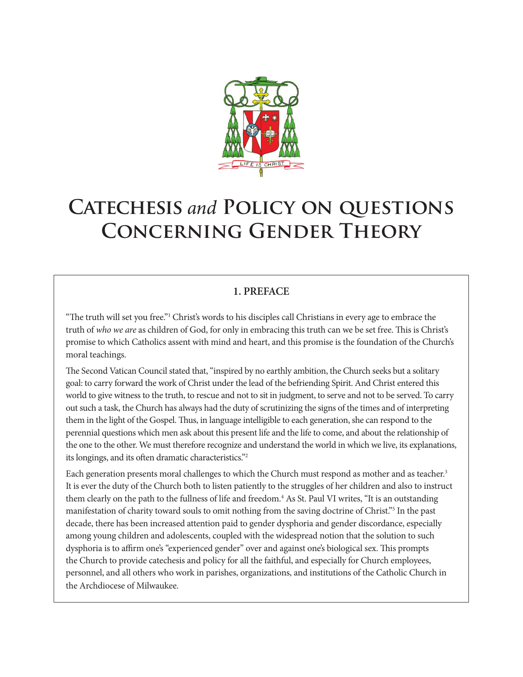

# **Catechesis** *and* **Policy on questions Concerning Gender Theory**

## **1. PREFACE**

"The truth will set you free."1 Christ's words to his disciples call Christians in every age to embrace the truth of *who we are* as children of God, for only in embracing this truth can we be set free. This is Christ's promise to which Catholics assent with mind and heart, and this promise is the foundation of the Church's moral teachings.

The Second Vatican Council stated that, "inspired by no earthly ambition, the Church seeks but a solitary goal: to carry forward the work of Christ under the lead of the befriending Spirit. And Christ entered this world to give witness to the truth, to rescue and not to sit in judgment, to serve and not to be served. To carry out such a task, the Church has always had the duty of scrutinizing the signs of the times and of interpreting them in the light of the Gospel. Thus, in language intelligible to each generation, she can respond to the perennial questions which men ask about this present life and the life to come, and about the relationship of the one to the other. We must therefore recognize and understand the world in which we live, its explanations, its longings, and its often dramatic characteristics."2

Each generation presents moral challenges to which the Church must respond as mother and as teacher.<sup>3</sup> It is ever the duty of the Church both to listen patiently to the struggles of her children and also to instruct them clearly on the path to the fullness of life and freedom.<sup>4</sup> As St. Paul VI writes, "It is an outstanding manifestation of charity toward souls to omit nothing from the saving doctrine of Christ."5 In the past decade, there has been increased attention paid to gender dysphoria and gender discordance, especially among young children and adolescents, coupled with the widespread notion that the solution to such dysphoria is to affirm one's "experienced gender" over and against one's biological sex. This prompts the Church to provide catechesis and policy for all the faithful, and especially for Church employees, personnel, and all others who work in parishes, organizations, and institutions of the Catholic Church in the Archdiocese of Milwaukee.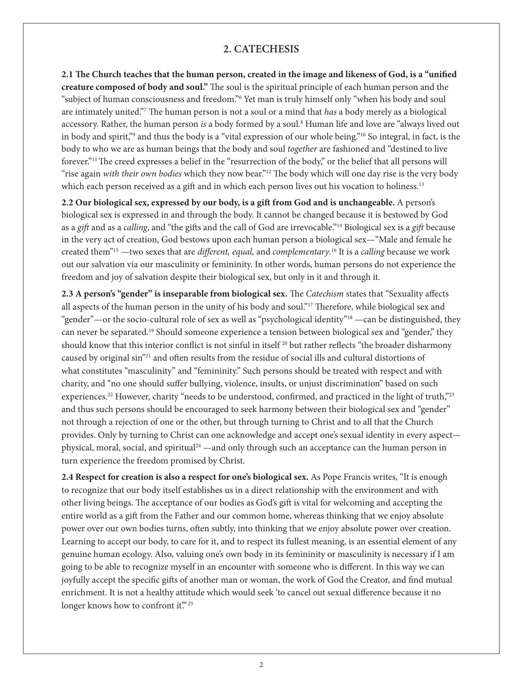#### **2. CATECHESIS**

**2.1 The Church teaches that the human person, created in the image and likeness of God, is a "unified creature composed of body and soul."** The soul is the spiritual principle of each human person and the "subject of human consciousness and freedom."6 Yet man is truly himself only "when his body and soul are intimately united."7 The human person is not a soul or a mind that *has* a body merely as a biological accessory. Rather, the human person *is* a body formed by a soul.8 Human life and love are "always lived out in body and spirit,"<sup>9</sup> and thus the body is a "vital expression of our whole being."<sup>10</sup> So integral, in fact, is the body to who we are as human beings that the body and soul *together* are fashioned and "destined to live forever."11 The creed expresses a belief in the "resurrection of the body," or the belief that all persons will "rise again *with their own bodies* which they now bear."12 The body which will one day rise is the very body which each person received as a gift and in which each person lives out his vocation to holiness.<sup>13</sup>

**2.2 Our biological sex, expressed by our body, is a gift from God and is unchangeable.** A person's biological sex is expressed in and through the body. It cannot be changed because it is bestowed by God as a *gift* and as a *calling*, and "the gifts and the call of God are irrevocable."14 Biological sex is a *gift* because in the very act of creation, God bestows upon each human person a biological sex—"Male and female he created them"15 —two sexes that are *different, equal,* and *complementary*. 16 It is a *calling* because we work out our salvation via our masculinity or femininity. In other words, human persons do not experience the freedom and joy of salvation despite their biological sex, but only in it and through it.

**2.3 A person's "gender" is inseparable from biological sex.** The *Catechism* states that "Sexuality affects all aspects of the human person in the unity of his body and soul."<sup>17</sup> Therefore, while biological sex and "gender"—or the socio-cultural role of sex as well as "psychological identity"18 —can be distinguished, they can never be separated.19 Should someone experience a tension between biological sex and "gender," they should know that this interior conflict is not sinful in itself<sup>20</sup> but rather reflects "the broader disharmony caused by original sin"21 and often results from the residue of social ills and cultural distortions of what constitutes "masculinity" and "femininity." Such persons should be treated with respect and with charity, and "no one should suffer bullying, violence, insults, or unjust discrimination" based on such experiences.<sup>22</sup> However, charity "needs to be understood, confirmed, and practiced in the light of truth,"<sup>23</sup> and thus such persons should be encouraged to seek harmony between their biological sex and "gender" not through a rejection of one or the other, but through turning to Christ and to all that the Church provides. Only by turning to Christ can one acknowledge and accept one's sexual identity in every aspect physical, moral, social, and spiritual<sup>24</sup> —and only through such an acceptance can the human person in turn experience the freedom promised by Christ.

**2.4 Respect for creation is also a respect for one's biological sex.** As Pope Francis writes, "It is enough to recognize that our body itself establishes us in a direct relationship with the environment and with other living beings. The acceptance of our bodies as God's gift is vital for welcoming and accepting the entire world as a gift from the Father and our common home, whereas thinking that we enjoy absolute power over our own bodies turns, often subtly, into thinking that we enjoy absolute power over creation. Learning to accept our body, to care for it, and to respect its fullest meaning, is an essential element of any genuine human ecology. Also, valuing one's own body in its femininity or masculinity is necessary if I am going to be able to recognize myself in an encounter with someone who is different. In this way we can joyfully accept the specific gifts of another man or woman, the work of God the Creator, and find mutual enrichment. It is not a healthy attitude which would seek 'to cancel out sexual difference because it no longer knows how to confront it."<sup>25</sup>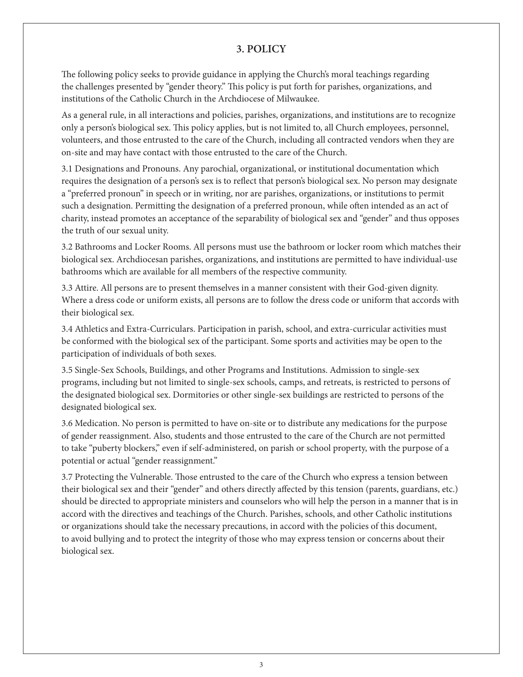### **3. POLICY**

The following policy seeks to provide guidance in applying the Church's moral teachings regarding the challenges presented by "gender theory." This policy is put forth for parishes, organizations, and institutions of the Catholic Church in the Archdiocese of Milwaukee.

As a general rule, in all interactions and policies, parishes, organizations, and institutions are to recognize only a person's biological sex. This policy applies, but is not limited to, all Church employees, personnel, volunteers, and those entrusted to the care of the Church, including all contracted vendors when they are on-site and may have contact with those entrusted to the care of the Church.

3.1 Designations and Pronouns. Any parochial, organizational, or institutional documentation which requires the designation of a person's sex is to reflect that person's biological sex. No person may designate a "preferred pronoun" in speech or in writing, nor are parishes, organizations, or institutions to permit such a designation. Permitting the designation of a preferred pronoun, while often intended as an act of charity, instead promotes an acceptance of the separability of biological sex and "gender" and thus opposes the truth of our sexual unity.

3.2 Bathrooms and Locker Rooms. All persons must use the bathroom or locker room which matches their biological sex. Archdiocesan parishes, organizations, and institutions are permitted to have individual-use bathrooms which are available for all members of the respective community.

3.3 Attire. All persons are to present themselves in a manner consistent with their God-given dignity. Where a dress code or uniform exists, all persons are to follow the dress code or uniform that accords with their biological sex.

3.4 Athletics and Extra-Curriculars. Participation in parish, school, and extra-curricular activities must be conformed with the biological sex of the participant. Some sports and activities may be open to the participation of individuals of both sexes.

3.5 Single-Sex Schools, Buildings, and other Programs and Institutions. Admission to single-sex programs, including but not limited to single-sex schools, camps, and retreats, is restricted to persons of the designated biological sex. Dormitories or other single-sex buildings are restricted to persons of the designated biological sex.

3.6 Medication. No person is permitted to have on-site or to distribute any medications for the purpose of gender reassignment. Also, students and those entrusted to the care of the Church are not permitted to take "puberty blockers," even if self-administered, on parish or school property, with the purpose of a potential or actual "gender reassignment."

3.7 Protecting the Vulnerable. Those entrusted to the care of the Church who express a tension between their biological sex and their "gender" and others directly affected by this tension (parents, guardians, etc.) should be directed to appropriate ministers and counselors who will help the person in a manner that is in accord with the directives and teachings of the Church. Parishes, schools, and other Catholic institutions or organizations should take the necessary precautions, in accord with the policies of this document, to avoid bullying and to protect the integrity of those who may express tension or concerns about their biological sex.